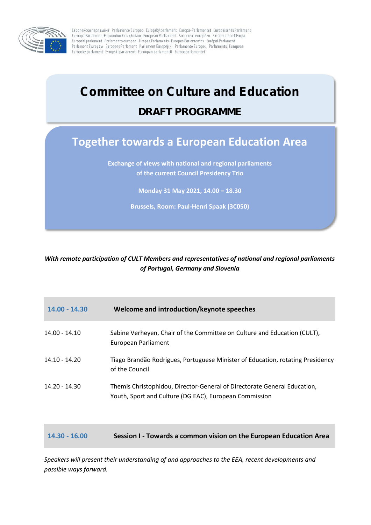

Eвропейски парламент Parlamento Europeo Evropský parlament Europa-Parlamentet Europäisches Parlament Euroopa Parlament Eupwnaïkó Kolvoßouno European Parliament Parlement européen Parlaimint na hEorpa Europski parlament Parlamento europeo Eiropas Parlaments Europos Parlamentas Európai Parlament Parlament Ewropev Europees Parlement Parlament Europejski Parlamento Europeu Parlamentul European Európsky parlament Evropski parlament Euroopan parlamentti Europaparlamentet

# *Committee on Culture and Education*

### **DRAFT PROGRAMME**

## **Together towards a European Education Area**

**Exchange of views with national and regional parliaments of the current Council Presidency Trio**

**Monday 31 May 2021, 14.00 – 18.30**

**Brussels, Room: Paul-Henri Spaak (3C050)**

#### *With remote participation of CULT Members and representatives of national and regional parliaments of Portugal, Germany and Slovenia*

| $14.00 - 14.30$ | Welcome and introduction/keynote speeches                                                                                          |
|-----------------|------------------------------------------------------------------------------------------------------------------------------------|
| $14.00 - 14.10$ | Sabine Verheyen, Chair of the Committee on Culture and Education (CULT),<br>European Parliament                                    |
| $14.10 - 14.20$ | Tiago Brandão Rodrigues, Portuguese Minister of Education, rotating Presidency<br>of the Council                                   |
| 14.20 - 14.30   | Themis Christophidou, Director-General of Directorate General Education,<br>Youth, Sport and Culture (DG EAC), European Commission |
|                 |                                                                                                                                    |

#### **14.30 - 16.00 Session I - Towards a common vision on the European Education Area**

*Speakers will present their understanding of and approaches to the EEA, recent developments and possible ways forward.*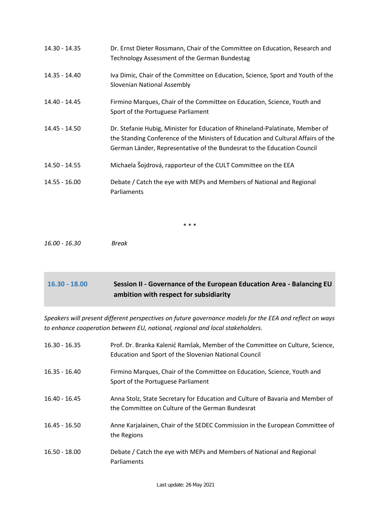| 14.30 - 14.35 | Dr. Ernst Dieter Rossmann, Chair of the Committee on Education, Research and<br>Technology Assessment of the German Bundestag                                                                                                                 |
|---------------|-----------------------------------------------------------------------------------------------------------------------------------------------------------------------------------------------------------------------------------------------|
| 14.35 - 14.40 | Iva Dimic, Chair of the Committee on Education, Science, Sport and Youth of the<br>Slovenian National Assembly                                                                                                                                |
| 14.40 - 14.45 | Firmino Marques, Chair of the Committee on Education, Science, Youth and<br>Sport of the Portuguese Parliament                                                                                                                                |
| 14.45 - 14.50 | Dr. Stefanie Hubig, Minister for Education of Rhineland-Palatinate, Member of<br>the Standing Conference of the Ministers of Education and Cultural Affairs of the<br>German Länder, Representative of the Bundesrat to the Education Council |
| 14.50 - 14.55 | Michaela Šojdrová, rapporteur of the CULT Committee on the EEA                                                                                                                                                                                |
| 14.55 - 16.00 | Debate / Catch the eye with MEPs and Members of National and Regional<br>Parliaments                                                                                                                                                          |

\* \* \*

*16.00 - 16.30 Break*

### **16.30 - 18.00 Session II - Governance of the European Education Area - Balancing EU ambition with respect for subsidiarity**

*Speakers will present different perspectives on future governance models for the EEA and reflect on ways to enhance cooperation between EU, national, regional and local stakeholders.*

| $16.30 - 16.35$ | Prof. Dr. Branka Kalenić Ramšak, Member of the Committee on Culture, Science,<br>Education and Sport of the Slovenian National Council |
|-----------------|----------------------------------------------------------------------------------------------------------------------------------------|
| $16.35 - 16.40$ | Firmino Marques, Chair of the Committee on Education, Science, Youth and<br>Sport of the Portuguese Parliament                         |
| $16.40 - 16.45$ | Anna Stolz, State Secretary for Education and Culture of Bavaria and Member of<br>the Committee on Culture of the German Bundesrat     |
| $16.45 - 16.50$ | Anne Karjalainen, Chair of the SEDEC Commission in the European Committee of<br>the Regions                                            |
| $16.50 - 18.00$ | Debate / Catch the eye with MEPs and Members of National and Regional<br>Parliaments                                                   |